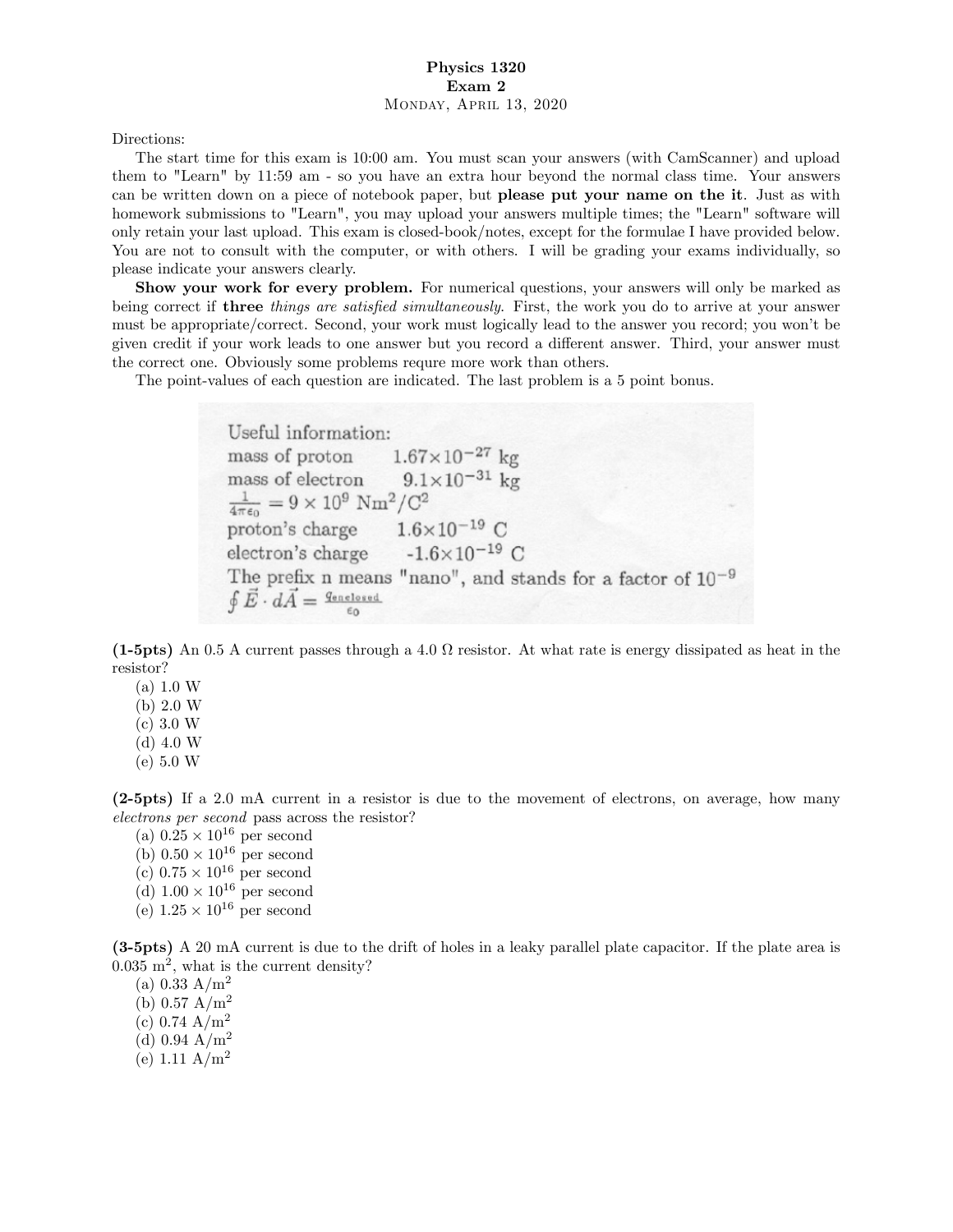## Physics 1320 Exam 2 Monday, April 13, 2020

Directions:

The start time for this exam is 10:00 am. You must scan your answers (with CamScanner) and upload them to "Learn" by 11:59 am - so you have an extra hour beyond the normal class time. Your answers can be written down on a piece of notebook paper, but please put your name on the it. Just as with homework submissions to "Learn", you may upload your answers multiple times; the "Learn" software will only retain your last upload. This exam is closed-book/notes, except for the formulae I have provided below. You are not to consult with the computer, or with others. I will be grading your exams individually, so please indicate your answers clearly.

Show your work for every problem. For numerical questions, your answers will only be marked as being correct if **three** things are satisfied simultaneously. First, the work you do to arrive at your answer must be appropriate/correct. Second, your work must logically lead to the answer you record; you wonít be given credit if your work leads to one answer but you record a different answer. Third, your answer must the correct one. Obviously some problems requre more work than others.

The point-values of each question are indicated. The last problem is a 5 point bonus.

Useful information:  $1.67 \times 10^{-27}$  kg mass of proton  $9.1 \times 10^{-31}$  kg mass of electron  $\frac{1}{4\pi\epsilon_0} = 9 \times 10^9$  Nm<sup>2</sup>/C<sup>2</sup> proton's charge  $1.6 \times 10^{-19}$  C<br>electron's charge  $-1.6 \times 10^{-19}$  C The prefix n means "nano", and stands for a factor of  $10^{-9}$  $\oint \vec{E} \cdot d\vec{A} = \frac{q_{\text{enclosed}}}{\sqrt{q_{\text{enclosed}}}}$ 

 $(1-5pts)$  An 0.5 A current passes through a 4.0  $\Omega$  resistor. At what rate is energy dissipated as heat in the resistor?

- $(a) 1.0 W$
- $(b) 2.0 W$  $(c) 3.0 W$
- $(d)$  4.0 W
- $(e) 5.0 W$
- 

(2-5pts) If a 2.0 mA current in a resistor is due to the movement of electrons, on average, how many electrons per second pass across the resistor?

- (a)  $0.25 \times 10^{16}$  per second
- (b)  $0.50 \times 10^{16}$  per second
- (c)  $0.75 \times 10^{16}$  per second
- (d)  $1.00 \times 10^{16}$  per second
- (e)  $1.25 \times 10^{16}$  per second

(3-5pts) A 20 mA current is due to the drift of holes in a leaky parallel plate capacitor. If the plate area is  $0.035 \text{ m}^2$ , what is the current density?

(a)  $0.33 \text{ A/m}^2$ 

- (b)  $0.57 \text{ A/m}^2$
- (c) 0.74  $A/m^2$
- (d) 0.94  $A/m^2$
- (e) 1.11  $A/m^2$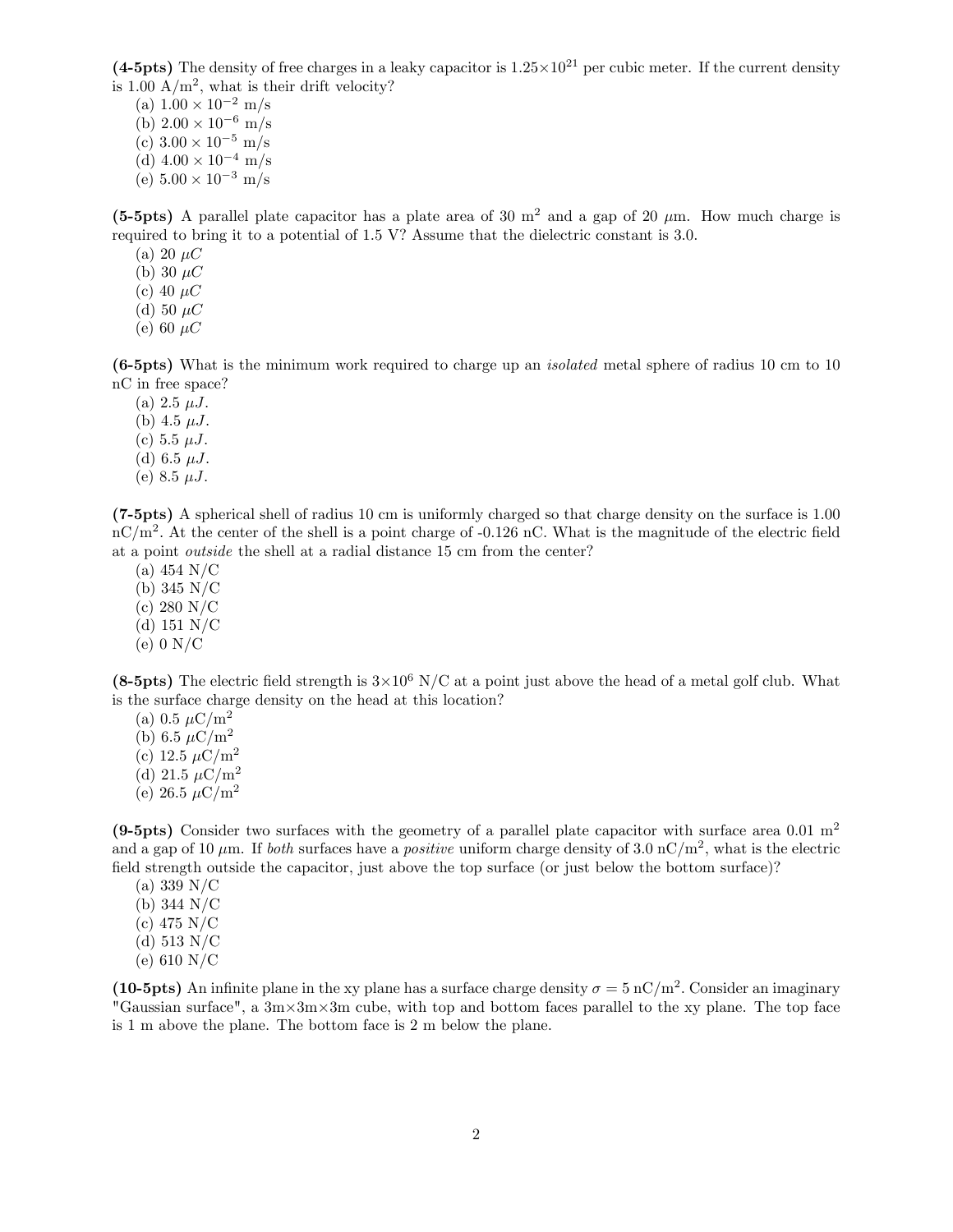(4-5pts) The density of free charges in a leaky capacitor is  $1.25 \times 10^{21}$  per cubic meter. If the current density is 1.00  $A/m^2$ , what is their drift velocity?

(a)  $1.00 \times 10^{-2}$  m/s (b)  $2.00 \times 10^{-6}$  m/s (c)  $3.00 \times 10^{-5}$  m/s (d)  $4.00 \times 10^{-4}$  m/s (e)  $5.00 \times 10^{-3}$  m/s

(5-5pts) A parallel plate capacitor has a plate area of 30  $m<sup>2</sup>$  and a gap of 20  $\mu$ m. How much charge is required to bring it to a potential of 1.5 V? Assume that the dielectric constant is 3.0.

(a) 20  $\mu$ C

(b) 30  $\mu$ C

(c) 40  $\mu$ C

- (d) 50  $\mu$ C
- (e) 60  $\mu$ C

(6-5pts) What is the minimum work required to charge up an isolated metal sphere of radius 10 cm to 10 nC in free space?

- (a)  $2.5 \mu J$ .
- (b)  $4.5 \mu J$ .
- (c) 5.5  $\mu$ J.
- (d) 6.5  $\mu$ J.
- (e) 8.5  $\mu$ J.

(7-5pts) A spherical shell of radius 10 cm is uniformly charged so that charge density on the surface is 1.00  $\rm nC/m^2$ . At the center of the shell is a point charge of -0.126 nC. What is the magnitude of the electric field at a point outside the shell at a radial distance 15 cm from the center?

- (a) 454 N/C
- (b) 345 N/C
- (c) 280 N/C
- (d) 151 N/C
- $(e)$  0 N/C

(8-5pts) The electric field strength is  $3\times10^6$  N/C at a point just above the head of a metal golf club. What is the surface charge density on the head at this location?

- (a) 0.5  $\mu$ C/m<sup>2</sup> (b) 6.5  $\mu$ C/m<sup>2</sup> (c) 12.5  $\mu$ C/m<sup>2</sup>
- (d) 21.5  $\mu$ C/m<sup>2</sup>
- (e) 26.5  $\mu$ C/m<sup>2</sup>

(9-5pts) Consider two surfaces with the geometry of a parallel plate capacitor with surface area 0.01  $m<sup>2</sup>$ and a gap of 10  $\mu$ m. If both surfaces have a *positive* uniform charge density of 3.0 nC/m<sup>2</sup>, what is the electric field strength outside the capacitor, just above the top surface (or just below the bottom surface)?

- (a) 339 N/C
- (b) 344 N/C (c) 475 N/C
- (d) 513 N/C
- 
- (e) 610 N/C

(10-5pts) An infinite plane in the xy plane has a surface charge density  $\sigma = 5 \text{ nC/m}^2$ . Consider an imaginary "Gaussian surface", a  $3m \times 3m \times 3m$  cube, with top and bottom faces parallel to the xy plane. The top face is 1 m above the plane. The bottom face is 2 m below the plane.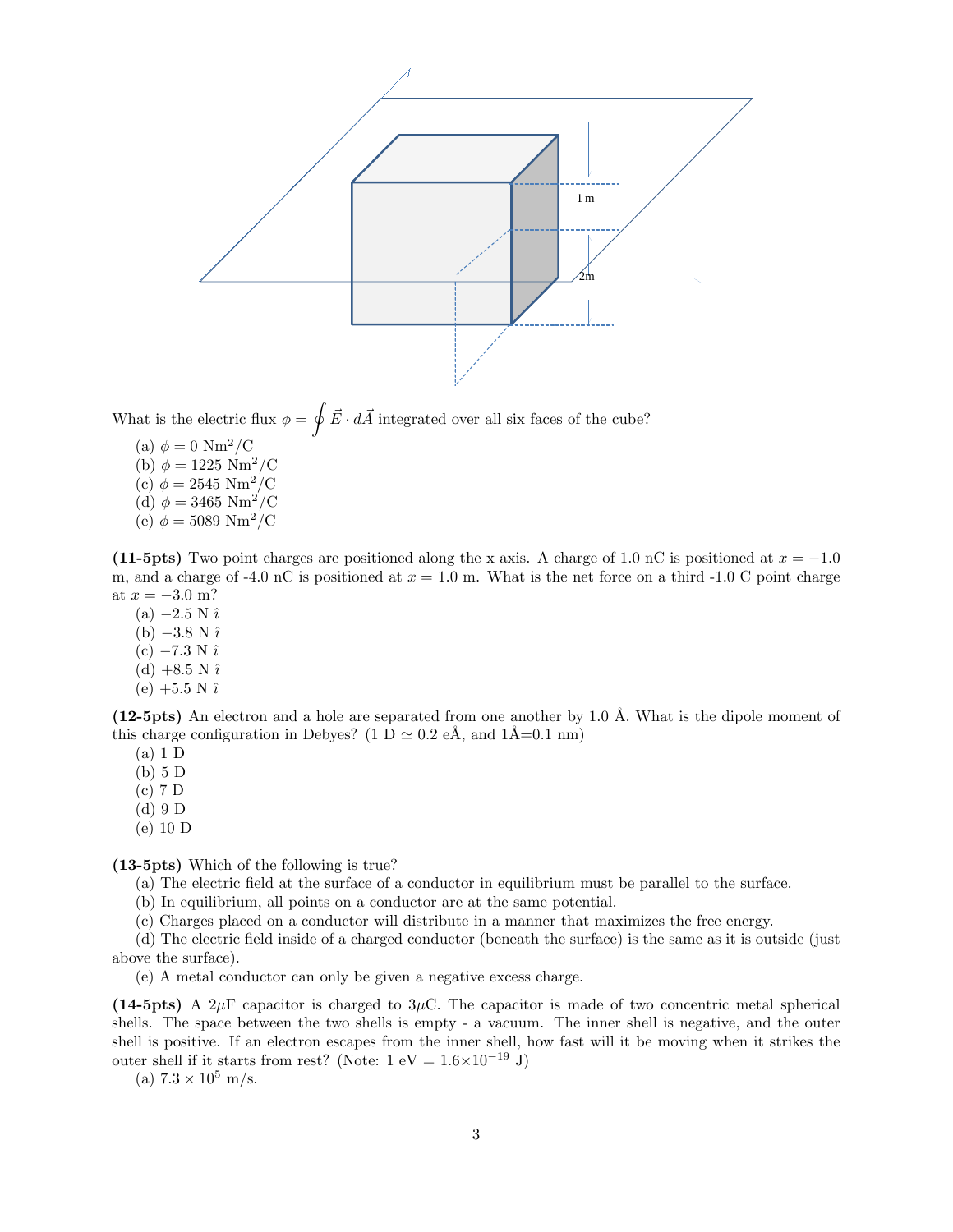

What is the electric flux  $\phi = \oint \vec{E} \cdot d\vec{A}$  integrated over all six faces of the cube?

(a)  $\phi = 0 \text{ Nm}^2/\text{C}$ (b)  $\phi = 1225 \text{ Nm}^2/\text{C}$ (c)  $\phi = 2545 \text{ Nm}^2/\text{C}$ (d)  $\phi = 3465 \text{ Nm}^2/\text{C}$ (e)  $\phi = 5089 \text{ Nm}^2/\text{C}$ 

(11-5pts) Two point charges are positioned along the x axis. A charge of 1.0 nC is positioned at  $x = -1.0$ m, and a charge of -4.0 nC is positioned at  $x = 1.0$  m. What is the net force on a third -1.0 C point charge at  $x = -3.0$  m?

- (a)  $-2.5 N \hat{i}$ (b)  $-3.8 \text{ N } \hat{\imath}$
- $(c) -7.3 N \hat{i}$
- (d)  $+8.5$  N  $\hat{i}$
- (e)  $+5.5 \text{ N } \hat{\imath}$

(12-5pts) An electron and a hole are separated from one another by 1.0 Å. What is the dipole moment of this charge configuration in Debyes? (1 D  $\simeq$  0.2 eÅ, and 1Å=0.1 nm)

(a) 1 D

(b) 5 D

- (c) 7 D
- (d) 9 D
- (e) 10 D

(13-5pts) Which of the following is true?

- (a) The electric Öeld at the surface of a conductor in equilibrium must be parallel to the surface.
- (b) In equilibrium, all points on a conductor are at the same potential.

(c) Charges placed on a conductor will distribute in a manner that maximizes the free energy.

(d) The electric Öeld inside of a charged conductor (beneath the surface) is the same as it is outside (just above the surface):

(e) A metal conductor can only be given a negative excess charge.

(14-5pts) A  $2\mu$ F capacitor is charged to  $3\mu$ C. The capacitor is made of two concentric metal spherical shells. The space between the two shells is empty - a vacuum. The inner shell is negative, and the outer shell is positive. If an electron escapes from the inner shell, how fast will it be moving when it strikes the outer shell if it starts from rest? (Note:  $1 \text{ eV} = 1.6 \times 10^{-19} \text{ J}$ )

(a)  $7.3 \times 10^5$  m/s.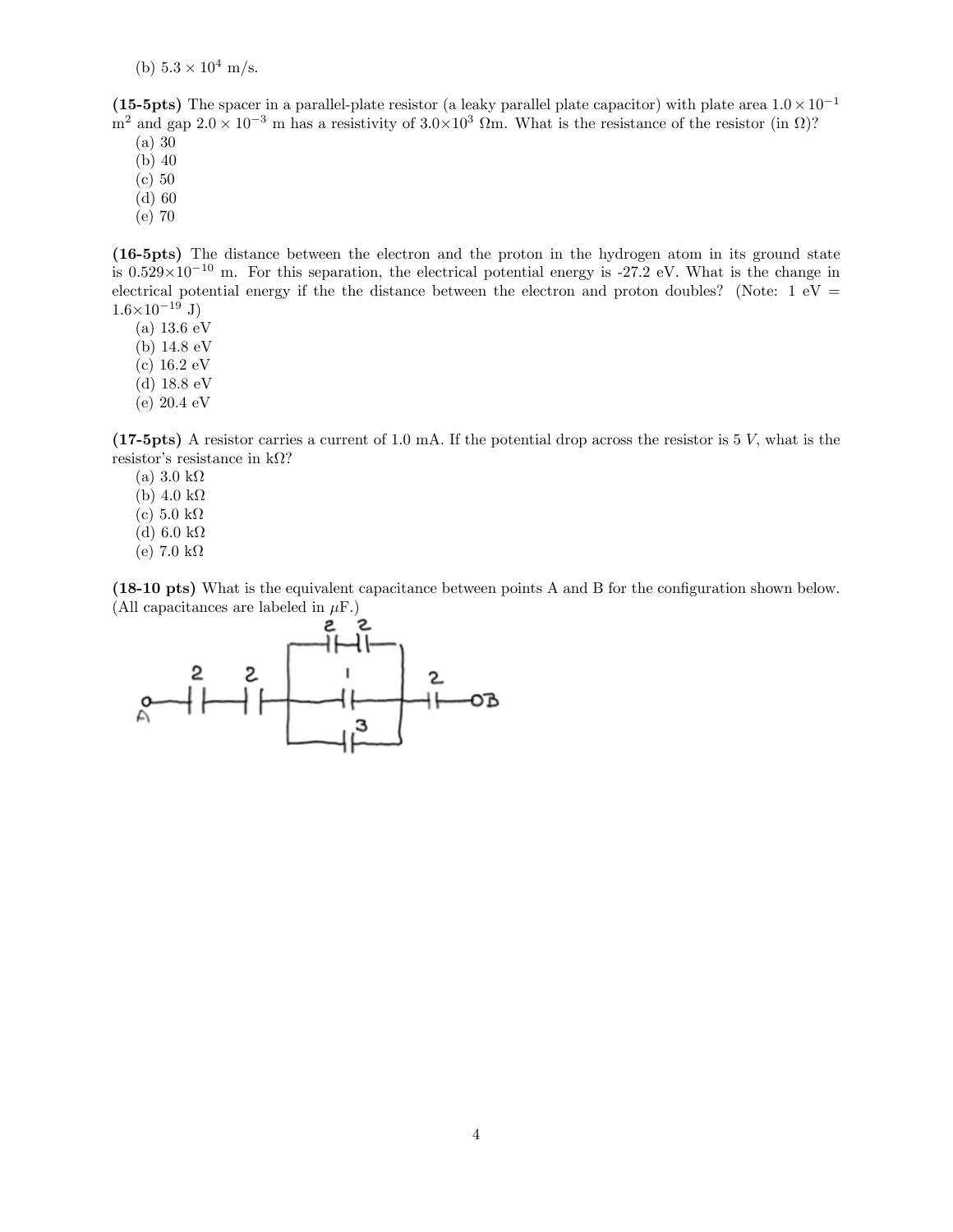(b)  $5.3 \times 10^4$  m/s.

(15-5pts) The spacer in a parallel-plate resistor (a leaky parallel plate capacitor) with plate area  $1.0 \times 10^{-1}$  $m^2$  and gap  $2.0 \times 10^{-3}$  m has a resistivity of  $3.0 \times 10^3$   $\Omega$ m. What is the resistance of the resistor (in  $\Omega$ )?

(a) 30

- (b) 40
- (c) 50
- (d) 60
- (e) 70

(16-5pts) The distance between the electron and the proton in the hydrogen atom in its ground state is  $0.529 \times 10^{-10}$  m. For this separation, the electrical potential energy is -27.2 eV. What is the change in electrical potential energy if the the distance between the electron and proton doubles? (Note:  $1 \text{ eV} =$  $1.6\times10^{-19}$  J)

- $(a) 13.6 eV$
- (b) 14:8 eV
- $(c) 16.2 eV$
- (d)  $18.8 \text{ eV}$
- $(e) 20.4 eV$

(17-5pts) A resistor carries a current of 1.0 mA. If the potential drop across the resistor is 5 V, what is the resistor's resistance in  $k\Omega$ ?

- (a)  $3.0 \text{ k}\Omega$
- (b)  $4.0 \text{ k}\Omega$
- (c)  $5.0 \text{ k}\Omega$
- (d) 6.0 k $\Omega$
- (e) 7.0 k $\Omega$

(18-10 pts) What is the equivalent capacitance between points A and B for the configuration shown below. (All capacitances are labeled in  $\mu$ F.)